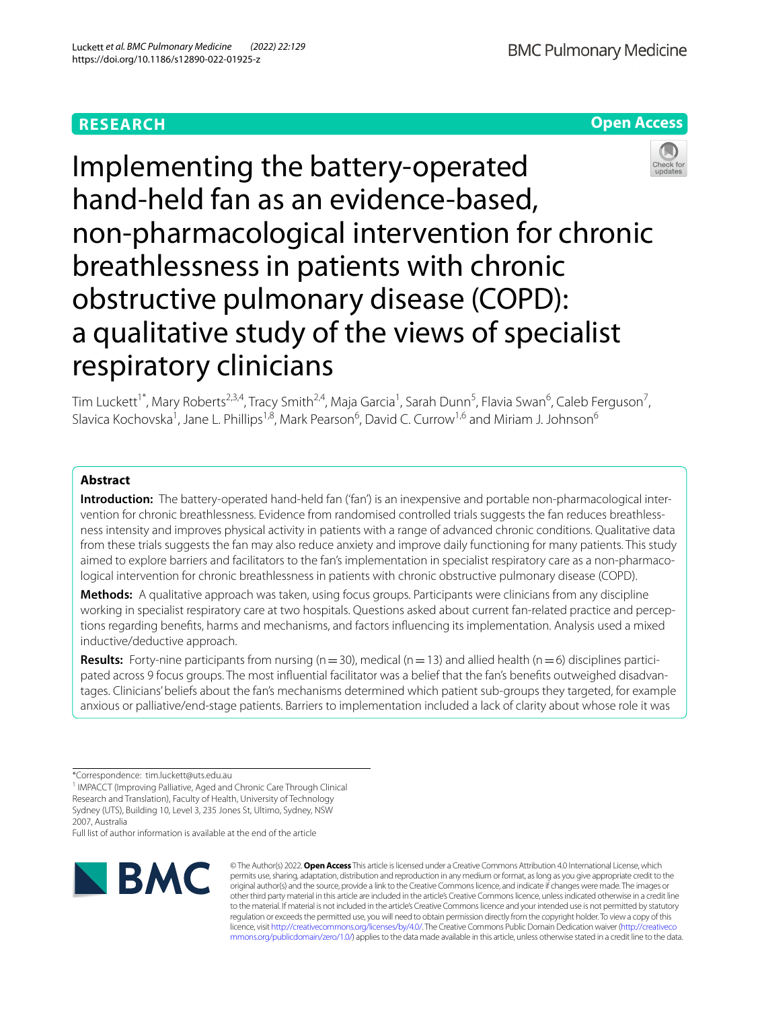# **RESEARCH**

**Open Access**

# Implementing the battery-operated hand-held fan as an evidence-based, non-pharmacological intervention for chronic breathlessness in patients with chronic obstructive pulmonary disease (COPD): a qualitative study of the views of specialist respiratory clinicians

Tim Luckett<sup>1\*</sup>, Mary Roberts<sup>2,3,4</sup>, Tracy Smith<sup>2,4</sup>, Maja Garcia<sup>1</sup>, Sarah Dunn<sup>5</sup>, Flavia Swan<sup>6</sup>, Caleb Ferguson<sup>7</sup>, Slavica Kochovska<sup>1</sup>, Jane L. Phillips<sup>1,8</sup>, Mark Pearson<sup>6</sup>, David C. Currow<sup>1,6</sup> and Miriam J. Johnson<sup>6</sup>

## **Abstract**

**Introduction:** The battery-operated hand-held fan ('fan') is an inexpensive and portable non-pharmacological intervention for chronic breathlessness. Evidence from randomised controlled trials suggests the fan reduces breathlessness intensity and improves physical activity in patients with a range of advanced chronic conditions. Qualitative data from these trials suggests the fan may also reduce anxiety and improve daily functioning for many patients. This study aimed to explore barriers and facilitators to the fan's implementation in specialist respiratory care as a non-pharmacological intervention for chronic breathlessness in patients with chronic obstructive pulmonary disease (COPD).

**Methods:** A qualitative approach was taken, using focus groups. Participants were clinicians from any discipline working in specialist respiratory care at two hospitals. Questions asked about current fan-related practice and perceptions regarding benefts, harms and mechanisms, and factors infuencing its implementation. Analysis used a mixed inductive/deductive approach.

**Results:** Forty-nine participants from nursing ( $n=30$ ), medical ( $n=13$ ) and allied health ( $n=6$ ) disciplines participated across 9 focus groups. The most infuential facilitator was a belief that the fan's benefts outweighed disadvantages. Clinicians' beliefs about the fan's mechanisms determined which patient sub-groups they targeted, for example anxious or palliative/end-stage patients. Barriers to implementation included a lack of clarity about whose role it was

Full list of author information is available at the end of the article



© The Author(s) 2022. **Open Access** This article is licensed under a Creative Commons Attribution 4.0 International License, which permits use, sharing, adaptation, distribution and reproduction in any medium or format, as long as you give appropriate credit to the original author(s) and the source, provide a link to the Creative Commons licence, and indicate if changes were made. The images or other third party material in this article are included in the article's Creative Commons licence, unless indicated otherwise in a credit line to the material. If material is not included in the article's Creative Commons licence and your intended use is not permitted by statutory regulation or exceeds the permitted use, you will need to obtain permission directly from the copyright holder. To view a copy of this licence, visit [http://creativecommons.org/licenses/by/4.0/.](http://creativecommons.org/licenses/by/4.0/) The Creative Commons Public Domain Dedication waiver ([http://creativeco](http://creativecommons.org/publicdomain/zero/1.0/) [mmons.org/publicdomain/zero/1.0/](http://creativecommons.org/publicdomain/zero/1.0/)) applies to the data made available in this article, unless otherwise stated in a credit line to the data.

<sup>\*</sup>Correspondence: tim.luckett@uts.edu.au

<sup>&</sup>lt;sup>1</sup> IMPACCT (Improving Palliative, Aged and Chronic Care Through Clinical Research and Translation), Faculty of Health, University of Technology Sydney (UTS), Building 10, Level 3, 235 Jones St, Ultimo, Sydney, NSW 2007, Australia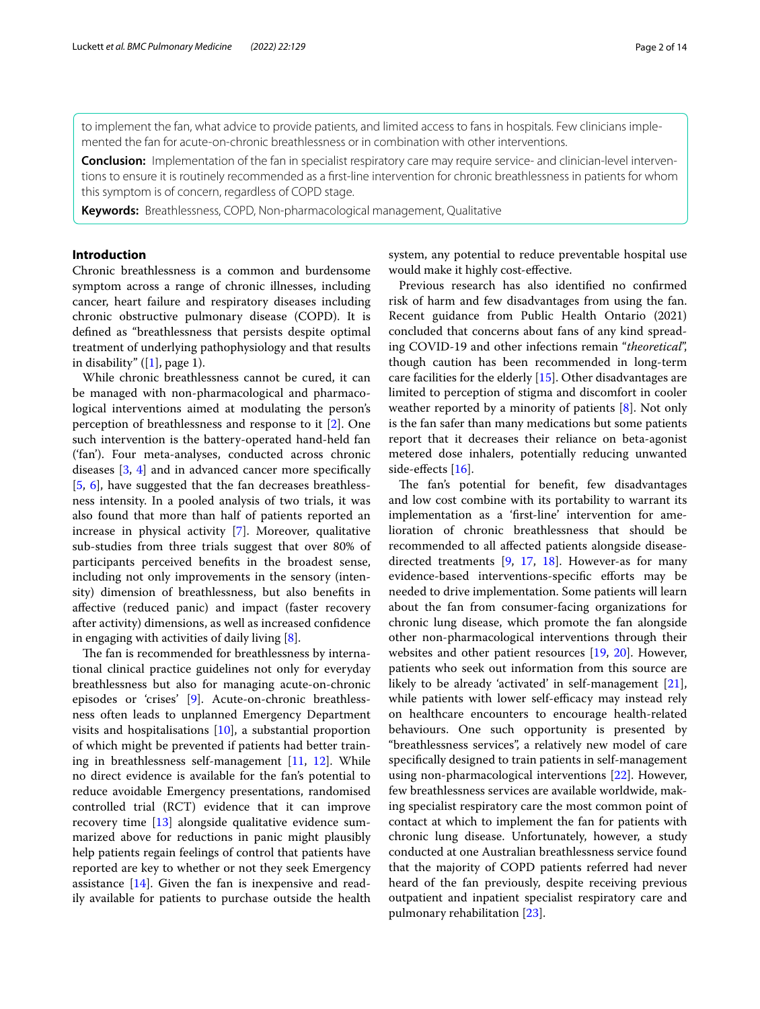to implement the fan, what advice to provide patients, and limited access to fans in hospitals. Few clinicians implemented the fan for acute-on-chronic breathlessness or in combination with other interventions.

**Conclusion:** Implementation of the fan in specialist respiratory care may require service- and clinician-level interventions to ensure it is routinely recommended as a frst-line intervention for chronic breathlessness in patients for whom this symptom is of concern, regardless of COPD stage.

**Keywords:** Breathlessness, COPD, Non-pharmacological management, Qualitative

## **Introduction**

Chronic breathlessness is a common and burdensome symptom across a range of chronic illnesses, including cancer, heart failure and respiratory diseases including chronic obstructive pulmonary disease (COPD). It is defned as "breathlessness that persists despite optimal treatment of underlying pathophysiology and that results in disability"  $([1]$  $([1]$ , page 1).

While chronic breathlessness cannot be cured, it can be managed with non-pharmacological and pharmacological interventions aimed at modulating the person's perception of breathlessness and response to it [\[2](#page-12-1)]. One such intervention is the battery-operated hand-held fan ('fan'). Four meta-analyses, conducted across chronic diseases [\[3](#page-12-2), [4\]](#page-12-3) and in advanced cancer more specifcally [[5,](#page-12-4) [6](#page-12-5)], have suggested that the fan decreases breathlessness intensity. In a pooled analysis of two trials, it was also found that more than half of patients reported an increase in physical activity [\[7](#page-12-6)]. Moreover, qualitative sub-studies from three trials suggest that over 80% of participants perceived benefts in the broadest sense, including not only improvements in the sensory (intensity) dimension of breathlessness, but also benefts in afective (reduced panic) and impact (faster recovery after activity) dimensions, as well as increased confdence in engaging with activities of daily living [[8](#page-12-7)].

The fan is recommended for breathlessness by international clinical practice guidelines not only for everyday breathlessness but also for managing acute-on-chronic episodes or 'crises' [[9](#page-12-8)]. Acute-on-chronic breathlessness often leads to unplanned Emergency Department visits and hospitalisations [[10\]](#page-12-9), a substantial proportion of which might be prevented if patients had better training in breathlessness self-management [[11,](#page-12-10) [12](#page-12-11)]. While no direct evidence is available for the fan's potential to reduce avoidable Emergency presentations, randomised controlled trial (RCT) evidence that it can improve recovery time [\[13](#page-12-12)] alongside qualitative evidence summarized above for reductions in panic might plausibly help patients regain feelings of control that patients have reported are key to whether or not they seek Emergency assistance [[14\]](#page-12-13). Given the fan is inexpensive and readily available for patients to purchase outside the health system, any potential to reduce preventable hospital use would make it highly cost-efective.

Previous research has also identifed no confrmed risk of harm and few disadvantages from using the fan. Recent guidance from Public Health Ontario (2021) concluded that concerns about fans of any kind spreading COVID-19 and other infections remain "*theoretical*", though caution has been recommended in long-term care facilities for the elderly [[15](#page-12-14)]. Other disadvantages are limited to perception of stigma and discomfort in cooler weather reported by a minority of patients [\[8](#page-12-7)]. Not only is the fan safer than many medications but some patients report that it decreases their reliance on beta-agonist metered dose inhalers, potentially reducing unwanted side-effects  $[16]$  $[16]$ .

The fan's potential for benefit, few disadvantages and low cost combine with its portability to warrant its implementation as a 'frst-line' intervention for amelioration of chronic breathlessness that should be recommended to all afected patients alongside diseasedirected treatments [\[9,](#page-12-8) [17](#page-12-16), [18](#page-12-17)]. However-as for many evidence-based interventions-specifc eforts may be needed to drive implementation. Some patients will learn about the fan from consumer-facing organizations for chronic lung disease, which promote the fan alongside other non-pharmacological interventions through their websites and other patient resources [\[19](#page-12-18), [20](#page-12-19)]. However, patients who seek out information from this source are likely to be already 'activated' in self-management [\[21](#page-12-20)], while patients with lower self-efficacy may instead rely on healthcare encounters to encourage health-related behaviours. One such opportunity is presented by "breathlessness services", a relatively new model of care specifcally designed to train patients in self-management using non-pharmacological interventions [[22](#page-12-21)]. However, few breathlessness services are available worldwide, making specialist respiratory care the most common point of contact at which to implement the fan for patients with chronic lung disease. Unfortunately, however, a study conducted at one Australian breathlessness service found that the majority of COPD patients referred had never heard of the fan previously, despite receiving previous outpatient and inpatient specialist respiratory care and pulmonary rehabilitation [[23](#page-12-22)].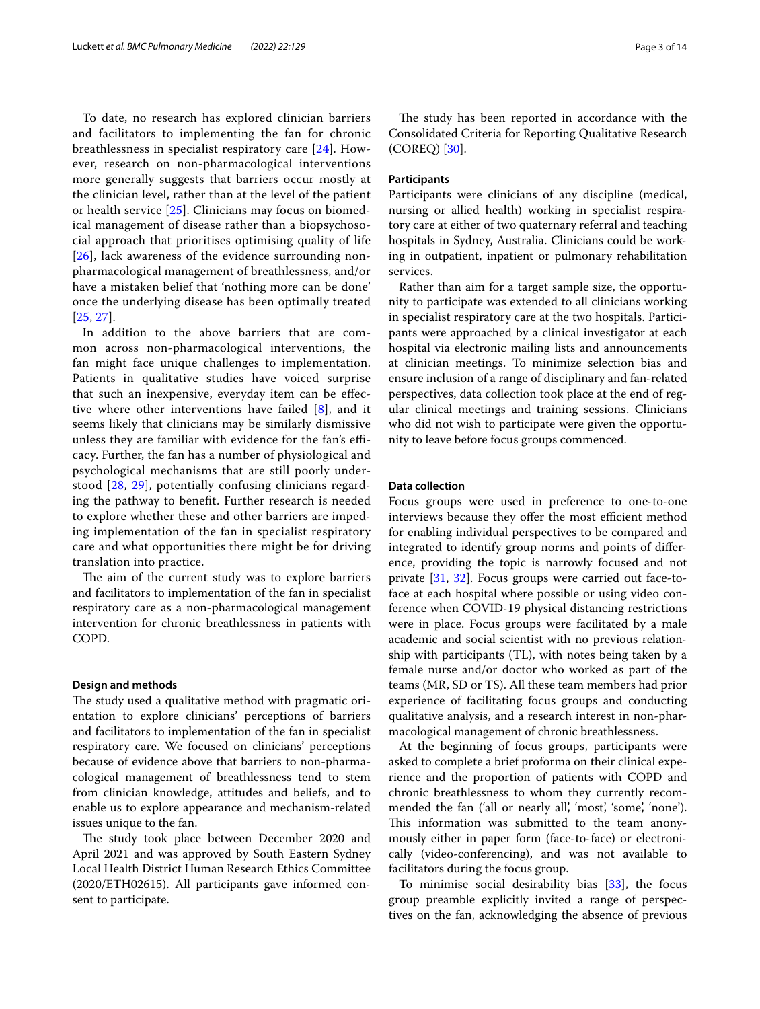To date, no research has explored clinician barriers and facilitators to implementing the fan for chronic breathlessness in specialist respiratory care [[24](#page-12-23)]. However, research on non-pharmacological interventions more generally suggests that barriers occur mostly at the clinician level, rather than at the level of the patient or health service [[25](#page-12-24)]. Clinicians may focus on biomedical management of disease rather than a biopsychosocial approach that prioritises optimising quality of life [[26](#page-12-25)], lack awareness of the evidence surrounding nonpharmacological management of breathlessness, and/or have a mistaken belief that 'nothing more can be done' once the underlying disease has been optimally treated [[25](#page-12-24), [27](#page-12-26)].

In addition to the above barriers that are common across non-pharmacological interventions, the fan might face unique challenges to implementation. Patients in qualitative studies have voiced surprise that such an inexpensive, everyday item can be efective where other interventions have failed [\[8](#page-12-7)], and it seems likely that clinicians may be similarly dismissive unless they are familiar with evidence for the fan's efficacy. Further, the fan has a number of physiological and psychological mechanisms that are still poorly understood [\[28](#page-12-27), [29](#page-12-28)], potentially confusing clinicians regarding the pathway to beneft. Further research is needed to explore whether these and other barriers are impeding implementation of the fan in specialist respiratory care and what opportunities there might be for driving translation into practice.

The aim of the current study was to explore barriers and facilitators to implementation of the fan in specialist respiratory care as a non-pharmacological management intervention for chronic breathlessness in patients with COPD.

#### **Design and methods**

The study used a qualitative method with pragmatic orientation to explore clinicians' perceptions of barriers and facilitators to implementation of the fan in specialist respiratory care. We focused on clinicians' perceptions because of evidence above that barriers to non-pharmacological management of breathlessness tend to stem from clinician knowledge, attitudes and beliefs, and to enable us to explore appearance and mechanism-related issues unique to the fan.

The study took place between December 2020 and April 2021 and was approved by South Eastern Sydney Local Health District Human Research Ethics Committee (2020/ETH02615). All participants gave informed consent to participate.

The study has been reported in accordance with the Consolidated Criteria for Reporting Qualitative Research (COREQ) [[30](#page-12-29)].

#### **Participants**

Participants were clinicians of any discipline (medical, nursing or allied health) working in specialist respiratory care at either of two quaternary referral and teaching hospitals in Sydney, Australia. Clinicians could be working in outpatient, inpatient or pulmonary rehabilitation services.

Rather than aim for a target sample size, the opportunity to participate was extended to all clinicians working in specialist respiratory care at the two hospitals. Participants were approached by a clinical investigator at each hospital via electronic mailing lists and announcements at clinician meetings. To minimize selection bias and ensure inclusion of a range of disciplinary and fan-related perspectives, data collection took place at the end of regular clinical meetings and training sessions. Clinicians who did not wish to participate were given the opportunity to leave before focus groups commenced.

#### **Data collection**

Focus groups were used in preference to one-to-one interviews because they offer the most efficient method for enabling individual perspectives to be compared and integrated to identify group norms and points of diference, providing the topic is narrowly focused and not private [[31,](#page-12-30) [32](#page-12-31)]. Focus groups were carried out face-toface at each hospital where possible or using video conference when COVID-19 physical distancing restrictions were in place. Focus groups were facilitated by a male academic and social scientist with no previous relationship with participants (TL), with notes being taken by a female nurse and/or doctor who worked as part of the teams (MR, SD or TS). All these team members had prior experience of facilitating focus groups and conducting qualitative analysis, and a research interest in non-pharmacological management of chronic breathlessness.

At the beginning of focus groups, participants were asked to complete a brief proforma on their clinical experience and the proportion of patients with COPD and chronic breathlessness to whom they currently recommended the fan ('all or nearly all', 'most', 'some', 'none'). This information was submitted to the team anonymously either in paper form (face-to-face) or electronically (video-conferencing), and was not available to facilitators during the focus group.

To minimise social desirability bias [\[33](#page-12-32)], the focus group preamble explicitly invited a range of perspectives on the fan, acknowledging the absence of previous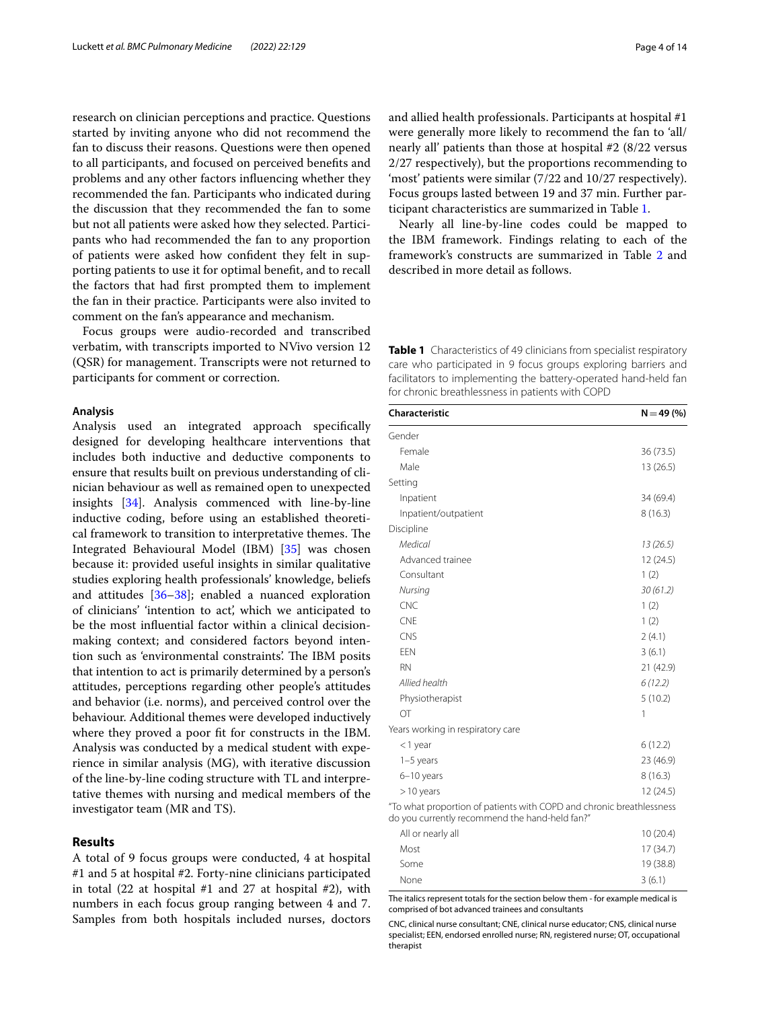research on clinician perceptions and practice. Questions started by inviting anyone who did not recommend the fan to discuss their reasons. Questions were then opened to all participants, and focused on perceived benefts and problems and any other factors infuencing whether they recommended the fan. Participants who indicated during the discussion that they recommended the fan to some but not all patients were asked how they selected. Participants who had recommended the fan to any proportion of patients were asked how confdent they felt in supporting patients to use it for optimal beneft, and to recall the factors that had frst prompted them to implement the fan in their practice. Participants were also invited to comment on the fan's appearance and mechanism.

Focus groups were audio-recorded and transcribed verbatim, with transcripts imported to NVivo version 12 (QSR) for management. Transcripts were not returned to participants for comment or correction.

#### **Analysis**

Analysis used an integrated approach specifcally designed for developing healthcare interventions that includes both inductive and deductive components to ensure that results built on previous understanding of clinician behaviour as well as remained open to unexpected insights [\[34](#page-12-33)]. Analysis commenced with line-by-line inductive coding, before using an established theoretical framework to transition to interpretative themes. The Integrated Behavioural Model (IBM) [\[35\]](#page-12-34) was chosen because it: provided useful insights in similar qualitative studies exploring health professionals' knowledge, beliefs and attitudes [[36–](#page-12-35)[38\]](#page-12-36); enabled a nuanced exploration of clinicians' 'intention to act', which we anticipated to be the most infuential factor within a clinical decisionmaking context; and considered factors beyond intention such as 'environmental constraints'. The IBM posits that intention to act is primarily determined by a person's attitudes, perceptions regarding other people's attitudes and behavior (i.e. norms), and perceived control over the behaviour. Additional themes were developed inductively where they proved a poor fit for constructs in the IBM. Analysis was conducted by a medical student with experience in similar analysis (MG), with iterative discussion of the line-by-line coding structure with TL and interpretative themes with nursing and medical members of the investigator team (MR and TS).

## **Results**

A total of 9 focus groups were conducted, 4 at hospital #1 and 5 at hospital #2. Forty-nine clinicians participated in total (22 at hospital #1 and 27 at hospital #2), with numbers in each focus group ranging between 4 and 7. Samples from both hospitals included nurses, doctors

and allied health professionals. Participants at hospital #1 were generally more likely to recommend the fan to 'all/ nearly all' patients than those at hospital #2 (8/22 versus 2/27 respectively), but the proportions recommending to 'most' patients were similar (7/22 and 10/27 respectively). Focus groups lasted between 19 and 37 min. Further participant characteristics are summarized in Table [1.](#page-3-0)

Nearly all line-by-line codes could be mapped to the IBM framework. Findings relating to each of the framework's constructs are summarized in Table [2](#page-4-0) and described in more detail as follows.

<span id="page-3-0"></span>**Table 1** Characteristics of 49 clinicians from specialist respiratory care who participated in 9 focus groups exploring barriers and facilitators to implementing the battery-operated hand-held fan for chronic breathlessness in patients with COPD

| Characteristic                                                                                                         | $N = 49(%)$ |
|------------------------------------------------------------------------------------------------------------------------|-------------|
| Gender                                                                                                                 |             |
| Female                                                                                                                 | 36 (73.5)   |
| Male                                                                                                                   | 13 (26.5)   |
| Setting                                                                                                                |             |
| Inpatient                                                                                                              | 34 (69.4)   |
| Inpatient/outpatient                                                                                                   | 8(16.3)     |
| Discipline                                                                                                             |             |
| Medical                                                                                                                | 13(26.5)    |
| Advanced trainee                                                                                                       | 12 (24.5)   |
| Consultant                                                                                                             | 1(2)        |
| Nursing                                                                                                                | 30(61.2)    |
| CNC                                                                                                                    | 1(2)        |
| <b>CNE</b>                                                                                                             | 1(2)        |
| CNS                                                                                                                    | 2(4.1)      |
| <b>FFN</b>                                                                                                             | 3(6.1)      |
| <b>RN</b>                                                                                                              | 21 (42.9)   |
| Allied health                                                                                                          | 6(12.2)     |
| Physiotherapist                                                                                                        | 5(10.2)     |
| OT                                                                                                                     | 1           |
| Years working in respiratory care                                                                                      |             |
| $<$ 1 year                                                                                                             | 6(12.2)     |
| $1-5$ years                                                                                                            | 23 (46.9)   |
| 6-10 years                                                                                                             | 8(16.3)     |
| $>10$ years                                                                                                            | 12(24.5)    |
| "To what proportion of patients with COPD and chronic breathlessness<br>do you currently recommend the hand-held fan?" |             |
| All or nearly all                                                                                                      | 10(20.4)    |
| Most                                                                                                                   | 17 (34.7)   |
| Some                                                                                                                   | 19 (38.8)   |

The italics represent totals for the section below them - for example medical is comprised of bot advanced trainees and consultants None  $3(6.1)$ 

CNC, clinical nurse consultant; CNE, clinical nurse educator; CNS, clinical nurse specialist; EEN, endorsed enrolled nurse; RN, registered nurse; OT, occupational therapist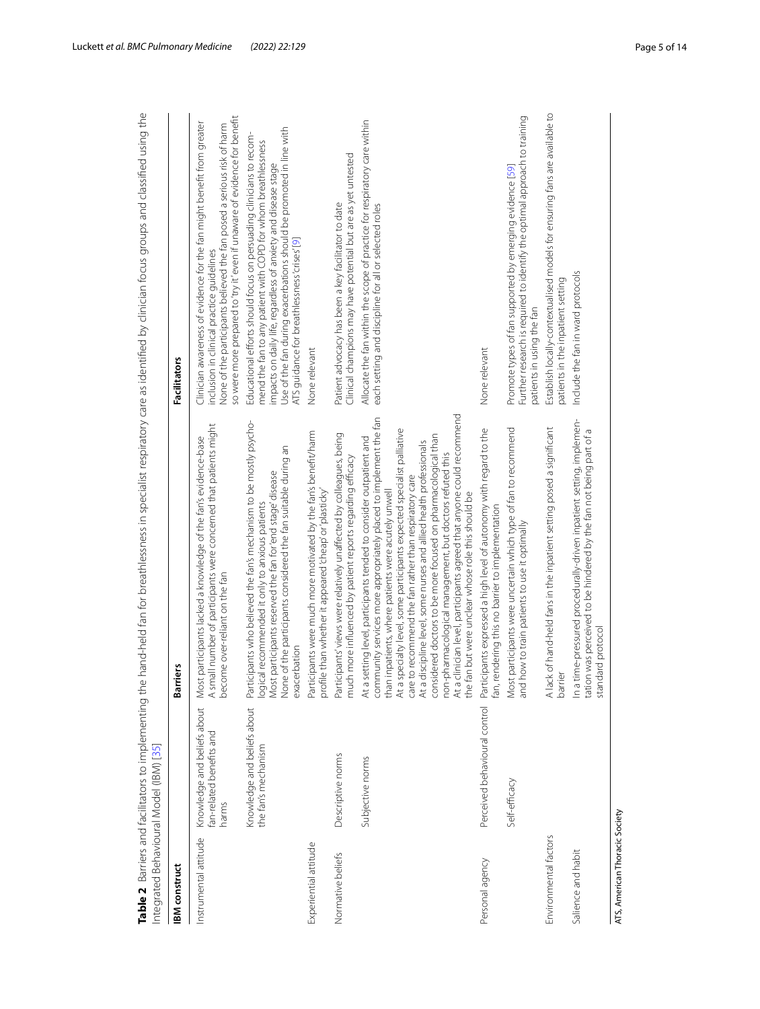| <b>BM</b> construct            |                                                                  | <b>Barriers</b>                                                                                                                                                                                                                                                                                                                                                                                                                                                                                                                                                                                                                                                      | <b>Facilitators</b>                                                                                                                                                                                                                                                                                                           |
|--------------------------------|------------------------------------------------------------------|----------------------------------------------------------------------------------------------------------------------------------------------------------------------------------------------------------------------------------------------------------------------------------------------------------------------------------------------------------------------------------------------------------------------------------------------------------------------------------------------------------------------------------------------------------------------------------------------------------------------------------------------------------------------|-------------------------------------------------------------------------------------------------------------------------------------------------------------------------------------------------------------------------------------------------------------------------------------------------------------------------------|
| nstrumental attitude           | Knowledge and beliefs about<br>fan-related benefits and<br>harms | A small number of participants were concerned that patients might<br>participants lacked a knowledge of the fan's evidence-base<br>become over-reliant on the fan<br>Most                                                                                                                                                                                                                                                                                                                                                                                                                                                                                            | so were more prepared to 'try it' even if unaware of evidence for benefit<br>Clinician awareness of evidence for the fan might benefit from greater<br>None of the participants believed the fan posed a serious risk of harm<br>inclusion in clinical practice guidelines                                                    |
|                                | Knowledge and beliefs about<br>the fan's mechanism               | ipants who believed the fan's mechanism to be mostly psycho-<br>None of the participants considered the fan suitable during an<br>Most participants reserved the fan for 'end stage' disease<br>logical recommended it only to anxious patients<br>exacerbation<br>Partici                                                                                                                                                                                                                                                                                                                                                                                           | Use of the fan during exacerbations should be promoted in line with<br>Educational efforts should focus on persuading clinicians to recom-<br>mend the fan to any patient with COPD for whom breathlessness<br>impacts on daily life, regardless of anxiety and disease stage<br>ATS guidance for breathlessness 'crises' [9] |
| Experiential attitude          |                                                                  | Participants were much more motivated by the fan's benefit/harm<br>profile than whether it appeared 'cheap' or 'plasticky'                                                                                                                                                                                                                                                                                                                                                                                                                                                                                                                                           | None relevant                                                                                                                                                                                                                                                                                                                 |
| Normative beliefs              | Descriptive norms                                                | Participants' views were relatively unaffected by colleagues, being<br>more influenced by patient reports regarding efficacy<br>much                                                                                                                                                                                                                                                                                                                                                                                                                                                                                                                                 | Clinical champions may have potential but are as yet untested<br>Patient advocacy has been a key facilitator to date                                                                                                                                                                                                          |
|                                | Subjective norms                                                 | At a clinician level, participants agreed that anyone could recommend<br>community services more appropriately placed to implement the fan<br>At a specialty level, some participants expected specialist palliative<br>considered doctors to be more focused on pharmacological than<br>At a setting level, participants tended to consider outpatient and<br>At a discipline level, some nurses and allied health professionals<br>non-pharmacological management, but doctors refuted this<br>care to recommend the fan rather than respiratory care<br>than inpatients, where patients were acutely unwell<br>the fan but were unclear whose role this should be | Allocate the fan within the scope of practice for respiratory care within<br>each setting and discipline for all or selected roles                                                                                                                                                                                            |
| Personal agency                | Perceived behavioural control                                    | Participants expressed a high level of autonomy with regard to the<br>fan, rendering this no barrier to implementation                                                                                                                                                                                                                                                                                                                                                                                                                                                                                                                                               | None relevant                                                                                                                                                                                                                                                                                                                 |
|                                | Self-efficacy                                                    | participants were uncertain which type of fan to recommend<br>and how to train patients to use it optimally<br>Most                                                                                                                                                                                                                                                                                                                                                                                                                                                                                                                                                  | Further research is required to identify the optimal approach to training<br>Promote types of fan supported by emerging evidence [59]<br>patients in using the fan                                                                                                                                                            |
| Environmental factors          |                                                                  | A lack of hand-held fans in the inpatient setting posed a significant<br>barrie                                                                                                                                                                                                                                                                                                                                                                                                                                                                                                                                                                                      | Establish locally-contextualised models for ensuring fans are available to<br>patients in the inpatient setting                                                                                                                                                                                                               |
| Salience and habit             |                                                                  | In a time-pressured procedurally-driven inpatient setting, implemen-<br>tation was perceived to be hindered by the fan not being part of a<br>standard protocol                                                                                                                                                                                                                                                                                                                                                                                                                                                                                                      | Include the fan in ward protocols                                                                                                                                                                                                                                                                                             |
| ATS, American Thoracic Society |                                                                  |                                                                                                                                                                                                                                                                                                                                                                                                                                                                                                                                                                                                                                                                      |                                                                                                                                                                                                                                                                                                                               |

<span id="page-4-0"></span>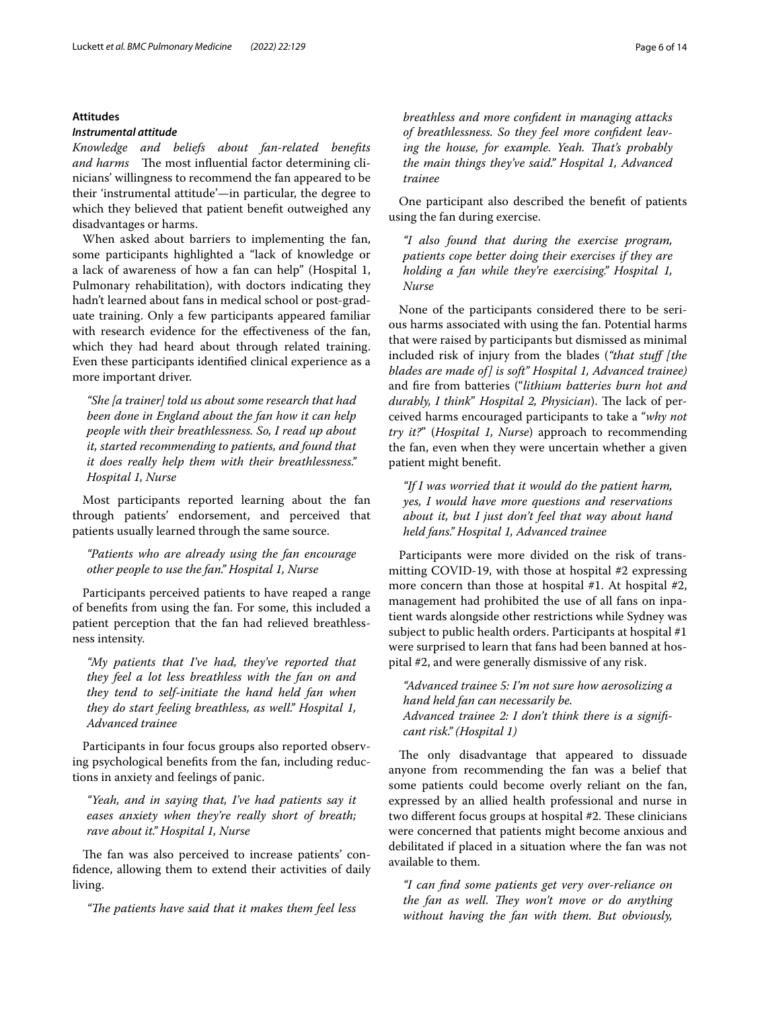## **Attitudes**

## <span id="page-5-0"></span>*Instrumental attitude*

*Knowledge and beliefs about fan‑related benefts and harms* The most influential factor determining clinicians' willingness to recommend the fan appeared to be their 'instrumental attitude'—in particular, the degree to which they believed that patient beneft outweighed any disadvantages or harms.

When asked about barriers to implementing the fan, some participants highlighted a "lack of knowledge or a lack of awareness of how a fan can help" (Hospital 1, Pulmonary rehabilitation), with doctors indicating they hadn't learned about fans in medical school or post-graduate training. Only a few participants appeared familiar with research evidence for the efectiveness of the fan, which they had heard about through related training. Even these participants identifed clinical experience as a more important driver.

*"She [a trainer] told us about some research that had been done in England about the fan how it can help people with their breathlessness. So, I read up about it, started recommending to patients, and found that it does really help them with their breathlessness." Hospital 1, Nurse*

Most participants reported learning about the fan through patients' endorsement, and perceived that patients usually learned through the same source.

*"Patients who are already using the fan encourage other people to use the fan." Hospital 1, Nurse*

Participants perceived patients to have reaped a range of benefts from using the fan. For some, this included a patient perception that the fan had relieved breathlessness intensity.

*"My patients that I've had, they've reported that they feel a lot less breathless with the fan on and they tend to self-initiate the hand held fan when they do start feeling breathless, as well." Hospital 1, Advanced trainee*

Participants in four focus groups also reported observing psychological benefts from the fan, including reductions in anxiety and feelings of panic.

*"Yeah, and in saying that, I've had patients say it eases anxiety when they're really short of breath; rave about it." Hospital 1, Nurse*

The fan was also perceived to increase patients' confdence, allowing them to extend their activities of daily living.

*"Te patients have said that it makes them feel less* 

*breathless and more confdent in managing attacks of breathlessness. So they feel more confdent leav‑* ing the house, for example. Yeah. That's probably *the main things they've said." Hospital 1, Advanced trainee*

One participant also described the beneft of patients using the fan during exercise.

*"I also found that during the exercise program, patients cope better doing their exercises if they are holding a fan while they're exercising." Hospital 1, Nurse*

None of the participants considered there to be serious harms associated with using the fan. Potential harms that were raised by participants but dismissed as minimal included risk of injury from the blades (*"that stuf [the blades are made of] is soft" Hospital 1, Advanced trainee)* and fre from batteries ("*lithium batteries burn hot and durably, I think" Hospital 2, Physician*). The lack of perceived harms encouraged participants to take a "*why not try it?*" (*Hospital 1, Nurse*) approach to recommending the fan, even when they were uncertain whether a given patient might beneft.

*"If I was worried that it would do the patient harm, yes, I would have more questions and reservations about it, but I just don't feel that way about hand held fans." Hospital 1, Advanced trainee*

Participants were more divided on the risk of transmitting COVID-19, with those at hospital #2 expressing more concern than those at hospital #1. At hospital #2, management had prohibited the use of all fans on inpatient wards alongside other restrictions while Sydney was subject to public health orders. Participants at hospital #1 were surprised to learn that fans had been banned at hospital #2, and were generally dismissive of any risk.

*"Advanced trainee 5: I'm not sure how aerosolizing a hand held fan can necessarily be. Advanced trainee 2: I don't think there is a signif‑ cant risk." (Hospital 1)*

The only disadvantage that appeared to dissuade anyone from recommending the fan was a belief that some patients could become overly reliant on the fan, expressed by an allied health professional and nurse in two different focus groups at hospital #2. These clinicians were concerned that patients might become anxious and debilitated if placed in a situation where the fan was not available to them.

*"I can fnd some patients get very over-reliance on the fan as well. They won't move or do anything without having the fan with them. But obviously,*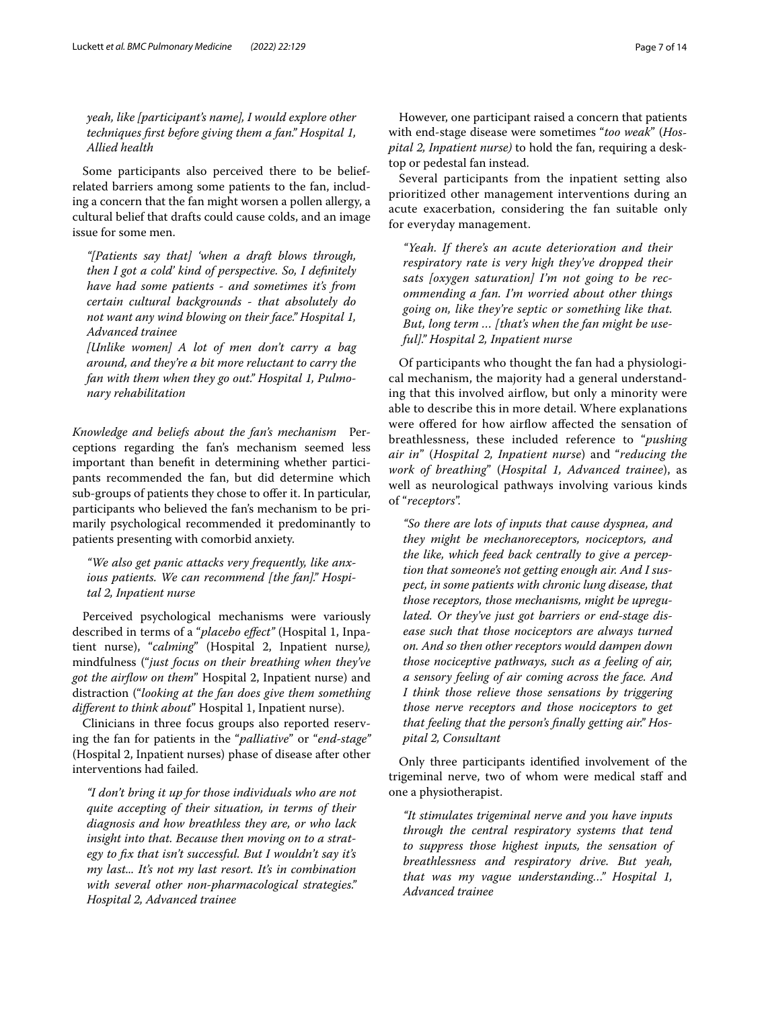*yeah, like [participant's name], I would explore other techniques frst before giving them a fan." Hospital 1, Allied health*

Some participants also perceived there to be beliefrelated barriers among some patients to the fan, including a concern that the fan might worsen a pollen allergy, a cultural belief that drafts could cause colds, and an image issue for some men.

*"[Patients say that] 'when a draft blows through, then I got a cold' kind of perspective. So, I defnitely have had some patients - and sometimes it's from certain cultural backgrounds - that absolutely do not want any wind blowing on their face." Hospital 1, Advanced trainee*

*[Unlike women] A lot of men don't carry a bag around, and they're a bit more reluctant to carry the fan with them when they go out." Hospital 1, Pulmo‑ nary rehabilitation*

*Knowledge and beliefs about the fan's mechanism* Perceptions regarding the fan's mechanism seemed less important than beneft in determining whether participants recommended the fan, but did determine which sub-groups of patients they chose to offer it. In particular, participants who believed the fan's mechanism to be primarily psychological recommended it predominantly to patients presenting with comorbid anxiety.

*"We also get panic attacks very frequently, like anx‑ ious patients. We can recommend [the fan]." Hospi‑ tal 2, Inpatient nurse*

Perceived psychological mechanisms were variously described in terms of a "*placebo efect"* (Hospital 1, Inpatient nurse), "*calming*" (Hospital 2, Inpatient nurse*),* mindfulness ("*just focus on their breathing when they've got the airfow on them*" Hospital 2, Inpatient nurse) and distraction ("*looking at the fan does give them something diferent to think about*" Hospital 1, Inpatient nurse).

Clinicians in three focus groups also reported reserving the fan for patients in the "*palliative*" or "*end-stage"* (Hospital 2, Inpatient nurses) phase of disease after other interventions had failed.

*"I don't bring it up for those individuals who are not quite accepting of their situation, in terms of their diagnosis and how breathless they are, or who lack insight into that. Because then moving on to a strat‑ egy to fx that isn't successful. But I wouldn't say it's my last... It's not my last resort. It's in combination with several other non-pharmacological strategies." Hospital 2, Advanced trainee*

However, one participant raised a concern that patients with end-stage disease were sometimes "*too weak*" (*Hos‑ pital 2, Inpatient nurse)* to hold the fan, requiring a desktop or pedestal fan instead.

Several participants from the inpatient setting also prioritized other management interventions during an acute exacerbation, considering the fan suitable only for everyday management.

*"Yeah. If there's an acute deterioration and their respiratory rate is very high they've dropped their sats [oxygen saturation] I'm not going to be rec‑ ommending a fan. I'm worried about other things going on, like they're septic or something like that. But, long term … [that's when the fan might be use‑ ful]." Hospital 2, Inpatient nurse*

Of participants who thought the fan had a physiological mechanism, the majority had a general understanding that this involved airflow, but only a minority were able to describe this in more detail. Where explanations were offered for how airflow affected the sensation of breathlessness, these included reference to "*pushing air in*" (*Hospital 2, Inpatient nurse*) and "*reducing the work of breathing*" (*Hospital 1, Advanced trainee*), as well as neurological pathways involving various kinds of "*receptors*".

*"So there are lots of inputs that cause dyspnea, and they might be mechanoreceptors, nociceptors, and the like, which feed back centrally to give a percep‑ tion that someone's not getting enough air. And I sus‑ pect, in some patients with chronic lung disease, that those receptors, those mechanisms, might be upregu‑ lated. Or they've just got barriers or end-stage dis‑ ease such that those nociceptors are always turned on. And so then other receptors would dampen down those nociceptive pathways, such as a feeling of air, a sensory feeling of air coming across the face. And I think those relieve those sensations by triggering those nerve receptors and those nociceptors to get that feeling that the person's fnally getting air." Hos‑ pital 2, Consultant*

Only three participants identifed involvement of the trigeminal nerve, two of whom were medical staf and one a physiotherapist.

*"It stimulates trigeminal nerve and you have inputs through the central respiratory systems that tend to suppress those highest inputs, the sensation of breathlessness and respiratory drive. But yeah, that was my vague understanding…" Hospital 1, Advanced trainee*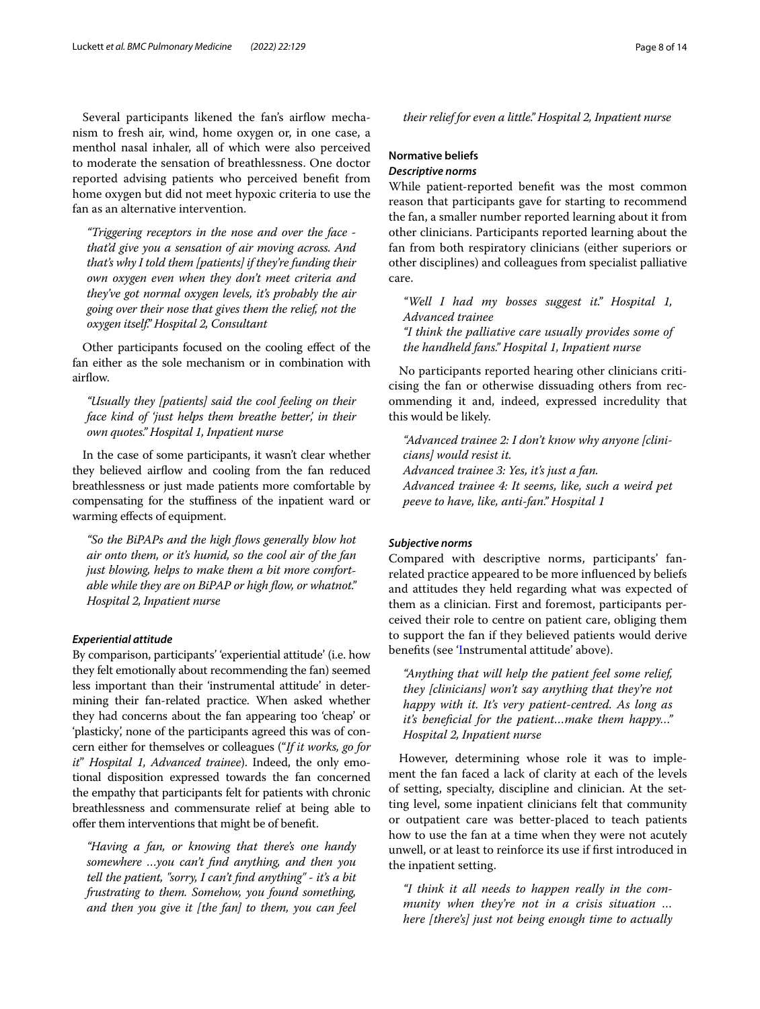Several participants likened the fan's airflow mechanism to fresh air, wind, home oxygen or, in one case, a menthol nasal inhaler, all of which were also perceived to moderate the sensation of breathlessness. One doctor reported advising patients who perceived beneft from home oxygen but did not meet hypoxic criteria to use the fan as an alternative intervention.

*"Triggering receptors in the nose and over the face that'd give you a sensation of air moving across. And that's why I told them [patients] if they're funding their own oxygen even when they don't meet criteria and they've got normal oxygen levels, it's probably the air going over their nose that gives them the relief, not the oxygen itself." Hospital 2, Consultant*

Other participants focused on the cooling efect of the fan either as the sole mechanism or in combination with airflow.

*"Usually they [patients] said the cool feeling on their face kind of 'just helps them breathe better', in their own quotes." Hospital 1, Inpatient nurse*

In the case of some participants, it wasn't clear whether they believed airflow and cooling from the fan reduced breathlessness or just made patients more comfortable by compensating for the stufness of the inpatient ward or warming efects of equipment.

*"So the BiPAPs and the high fows generally blow hot air onto them, or it's humid, so the cool air of the fan just blowing, helps to make them a bit more comfort‑ able while they are on BiPAP or high fow, or whatnot." Hospital 2, Inpatient nurse*

## *Experiential attitude*

By comparison, participants' 'experiential attitude' (i.e. how they felt emotionally about recommending the fan) seemed less important than their 'instrumental attitude' in determining their fan-related practice. When asked whether they had concerns about the fan appearing too 'cheap' or 'plasticky', none of the participants agreed this was of concern either for themselves or colleagues ("*If it works, go for it*" *Hospital 1, Advanced trainee*). Indeed, the only emotional disposition expressed towards the fan concerned the empathy that participants felt for patients with chronic breathlessness and commensurate relief at being able to ofer them interventions that might be of beneft.

*"Having a fan, or knowing that there's one handy somewhere …you can't fnd anything, and then you tell the patient, "sorry, I can't fnd anything" - it's a bit frustrating to them. Somehow, you found something, and then you give it [the fan] to them, you can feel* 

## **Normative beliefs** *Descriptive norms*

While patient-reported beneft was the most common reason that participants gave for starting to recommend the fan, a smaller number reported learning about it from other clinicians. Participants reported learning about the fan from both respiratory clinicians (either superiors or other disciplines) and colleagues from specialist palliative care.

*their relief for even a little." Hospital 2, Inpatient nurse*

*"Well I had my bosses suggest it." Hospital 1, Advanced trainee "I think the palliative care usually provides some of the handheld fans." Hospital 1, Inpatient nurse*

No participants reported hearing other clinicians criticising the fan or otherwise dissuading others from recommending it and, indeed, expressed incredulity that this would be likely.

*"Advanced trainee 2: I don't know why anyone [clini‑ cians] would resist it. Advanced trainee 3: Yes, it's just a fan. Advanced trainee 4: It seems, like, such a weird pet peeve to have, like, anti-fan." Hospital 1*

#### *Subjective norms*

Compared with descriptive norms, participants' fanrelated practice appeared to be more infuenced by beliefs and attitudes they held regarding what was expected of them as a clinician. First and foremost, participants perceived their role to centre on patient care, obliging them to support the fan if they believed patients would derive benefts (see '[In](#page-5-0)strumental attitude' above).

*"Anything that will help the patient feel some relief, they [clinicians] won't say anything that they're not happy with it. It's very patient-centred. As long as it's benefcial for the patient…make them happy…" Hospital 2, Inpatient nurse*

However, determining whose role it was to implement the fan faced a lack of clarity at each of the levels of setting, specialty, discipline and clinician. At the setting level, some inpatient clinicians felt that community or outpatient care was better-placed to teach patients how to use the fan at a time when they were not acutely unwell, or at least to reinforce its use if frst introduced in the inpatient setting.

*"I think it all needs to happen really in the com‑ munity when they're not in a crisis situation … here [there's] just not being enough time to actually*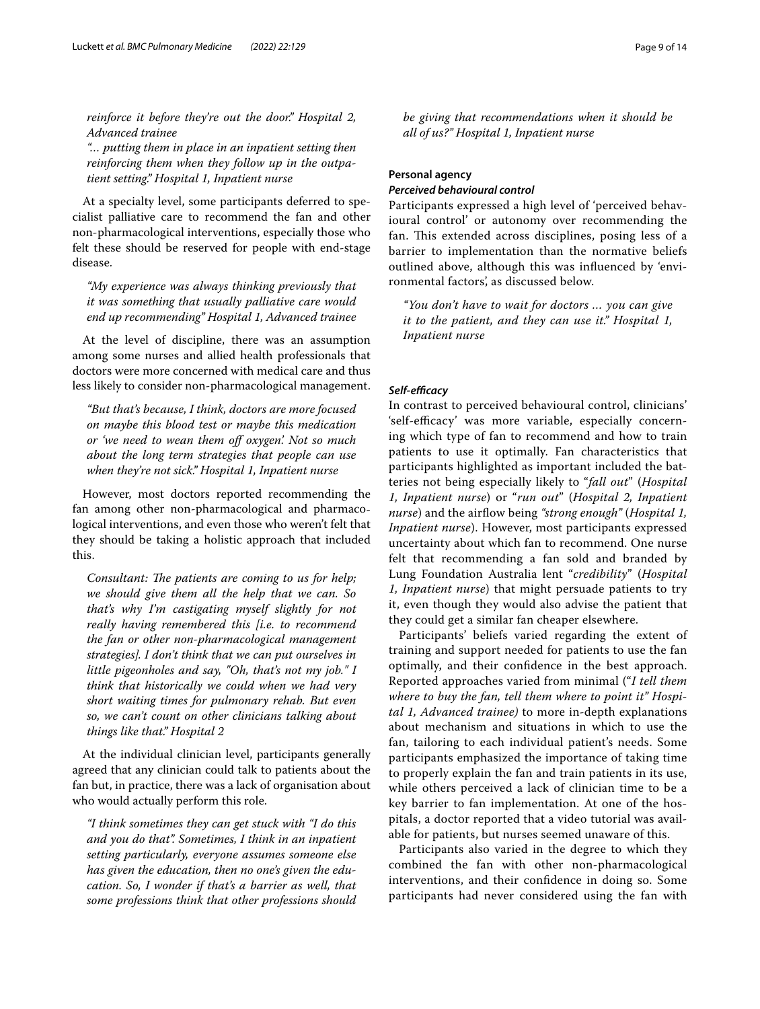*reinforce it before they're out the door." Hospital 2, Advanced trainee*

*"… putting them in place in an inpatient setting then reinforcing them when they follow up in the outpa‑ tient setting." Hospital 1, Inpatient nurse*

At a specialty level, some participants deferred to specialist palliative care to recommend the fan and other non-pharmacological interventions, especially those who felt these should be reserved for people with end-stage disease.

*"My experience was always thinking previously that it was something that usually palliative care would end up recommending" Hospital 1, Advanced trainee*

At the level of discipline, there was an assumption among some nurses and allied health professionals that doctors were more concerned with medical care and thus less likely to consider non-pharmacological management.

*"But that's because, I think, doctors are more focused on maybe this blood test or maybe this medication or 'we need to wean them of oxygen'. Not so much about the long term strategies that people can use when they're not sick." Hospital 1, Inpatient nurse*

However, most doctors reported recommending the fan among other non-pharmacological and pharmacological interventions, and even those who weren't felt that they should be taking a holistic approach that included this.

*Consultant: The patients are coming to us for help; we should give them all the help that we can. So that's why I'm castigating myself slightly for not really having remembered this [i.e. to recommend the fan or other non-pharmacological management strategies]. I don't think that we can put ourselves in little pigeonholes and say, "Oh, that's not my job." I think that historically we could when we had very short waiting times for pulmonary rehab. But even so, we can't count on other clinicians talking about things like that." Hospital 2*

At the individual clinician level, participants generally agreed that any clinician could talk to patients about the fan but, in practice, there was a lack of organisation about who would actually perform this role.

*"I think sometimes they can get stuck with "I do this and you do that". Sometimes, I think in an inpatient setting particularly, everyone assumes someone else has given the education, then no one's given the edu‑ cation. So, I wonder if that's a barrier as well, that some professions think that other professions should* 

*be giving that recommendations when it should be all of us?" Hospital 1, Inpatient nurse*

## **Personal agency**

#### *Perceived behavioural control*

Participants expressed a high level of 'perceived behavioural control' or autonomy over recommending the fan. This extended across disciplines, posing less of a barrier to implementation than the normative beliefs outlined above, although this was infuenced by 'environmental factors', as discussed below.

*"You don't have to wait for doctors … you can give it to the patient, and they can use it." Hospital 1, Inpatient nurse*

## *Self‑efcacy*

In contrast to perceived behavioural control, clinicians' 'self-efficacy' was more variable, especially concerning which type of fan to recommend and how to train patients to use it optimally. Fan characteristics that participants highlighted as important included the batteries not being especially likely to "*fall out*" (*Hospital 1, Inpatient nurse*) or "*run out*" (*Hospital 2, Inpatient nurse*) and the airfow being *"strong enough"* (*Hospital 1, Inpatient nurse*). However, most participants expressed uncertainty about which fan to recommend. One nurse felt that recommending a fan sold and branded by Lung Foundation Australia lent "*credibility*" (*Hospital 1, Inpatient nurse*) that might persuade patients to try it, even though they would also advise the patient that they could get a similar fan cheaper elsewhere.

Participants' beliefs varied regarding the extent of training and support needed for patients to use the fan optimally, and their confdence in the best approach. Reported approaches varied from minimal ("*I tell them where to buy the fan, tell them where to point it" Hospi‑ tal 1, Advanced trainee)* to more in-depth explanations about mechanism and situations in which to use the fan, tailoring to each individual patient's needs. Some participants emphasized the importance of taking time to properly explain the fan and train patients in its use, while others perceived a lack of clinician time to be a key barrier to fan implementation. At one of the hospitals, a doctor reported that a video tutorial was available for patients, but nurses seemed unaware of this.

Participants also varied in the degree to which they combined the fan with other non-pharmacological interventions, and their confdence in doing so. Some participants had never considered using the fan with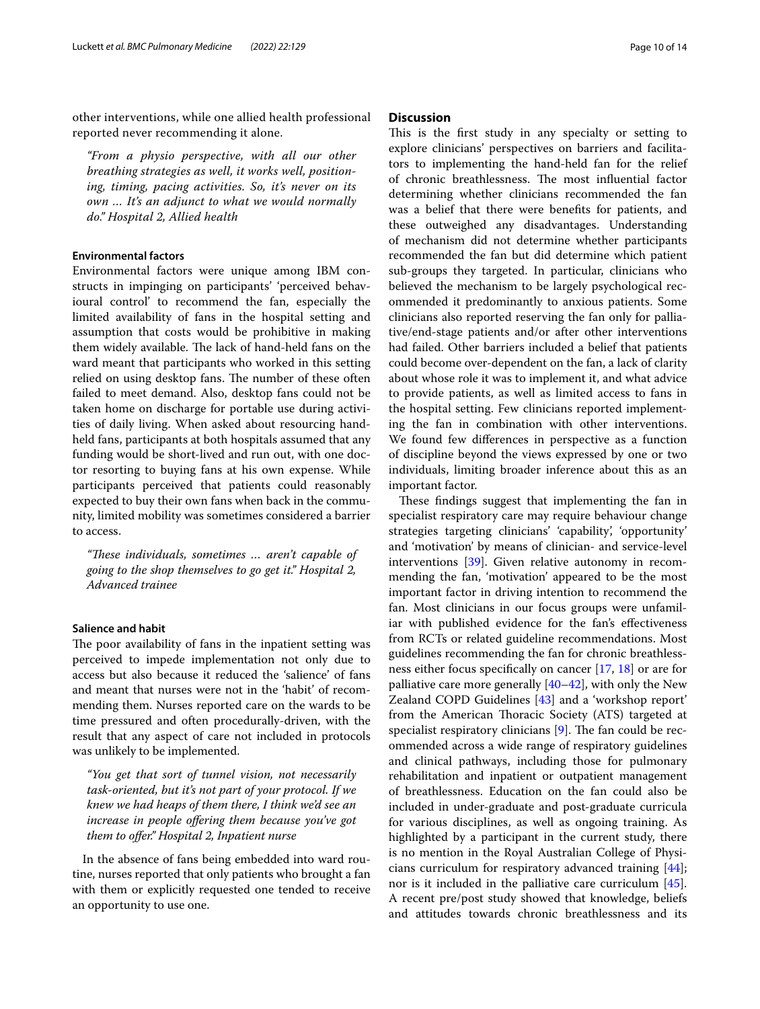other interventions, while one allied health professional reported never recommending it alone.

*"From a physio perspective, with all our other breathing strategies as well, it works well, position‑ ing, timing, pacing activities. So, it's never on its own … It's an adjunct to what we would normally do." Hospital 2, Allied health*

## **Environmental factors**

Environmental factors were unique among IBM constructs in impinging on participants' 'perceived behavioural control' to recommend the fan, especially the limited availability of fans in the hospital setting and assumption that costs would be prohibitive in making them widely available. The lack of hand-held fans on the ward meant that participants who worked in this setting relied on using desktop fans. The number of these often failed to meet demand. Also, desktop fans could not be taken home on discharge for portable use during activities of daily living. When asked about resourcing handheld fans, participants at both hospitals assumed that any funding would be short-lived and run out, with one doctor resorting to buying fans at his own expense. While participants perceived that patients could reasonably expected to buy their own fans when back in the community, limited mobility was sometimes considered a barrier to access.

*"Tese individuals, sometimes … aren't capable of going to the shop themselves to go get it." Hospital 2, Advanced trainee*

## **Salience and habit**

The poor availability of fans in the inpatient setting was perceived to impede implementation not only due to access but also because it reduced the 'salience' of fans and meant that nurses were not in the 'habit' of recommending them. Nurses reported care on the wards to be time pressured and often procedurally-driven, with the result that any aspect of care not included in protocols was unlikely to be implemented.

*"You get that sort of tunnel vision, not necessarily task-oriented, but it's not part of your protocol. If we knew we had heaps of them there, I think we'd see an increase in people ofering them because you've got them to ofer." Hospital 2, Inpatient nurse*

In the absence of fans being embedded into ward routine, nurses reported that only patients who brought a fan with them or explicitly requested one tended to receive an opportunity to use one.

## **Discussion**

This is the first study in any specialty or setting to explore clinicians' perspectives on barriers and facilitators to implementing the hand-held fan for the relief of chronic breathlessness. The most influential factor determining whether clinicians recommended the fan was a belief that there were benefts for patients, and these outweighed any disadvantages. Understanding of mechanism did not determine whether participants recommended the fan but did determine which patient sub-groups they targeted. In particular, clinicians who believed the mechanism to be largely psychological recommended it predominantly to anxious patients. Some clinicians also reported reserving the fan only for palliative/end-stage patients and/or after other interventions had failed. Other barriers included a belief that patients could become over-dependent on the fan, a lack of clarity about whose role it was to implement it, and what advice to provide patients, as well as limited access to fans in the hospital setting. Few clinicians reported implementing the fan in combination with other interventions. We found few diferences in perspective as a function of discipline beyond the views expressed by one or two individuals, limiting broader inference about this as an important factor.

These findings suggest that implementing the fan in specialist respiratory care may require behaviour change strategies targeting clinicians' 'capability', 'opportunity' and 'motivation' by means of clinician- and service-level interventions [[39\]](#page-12-37). Given relative autonomy in recommending the fan, 'motivation' appeared to be the most important factor in driving intention to recommend the fan. Most clinicians in our focus groups were unfamiliar with published evidence for the fan's efectiveness from RCTs or related guideline recommendations. Most guidelines recommending the fan for chronic breathlessness either focus specifcally on cancer [[17](#page-12-16), [18](#page-12-17)] or are for palliative care more generally  $[40-42]$  $[40-42]$ , with only the New Zealand COPD Guidelines [\[43](#page-13-3)] and a 'workshop report' from the American Thoracic Society (ATS) targeted at specialist respiratory clinicians  $[9]$  $[9]$ . The fan could be recommended across a wide range of respiratory guidelines and clinical pathways, including those for pulmonary rehabilitation and inpatient or outpatient management of breathlessness. Education on the fan could also be included in under-graduate and post-graduate curricula for various disciplines, as well as ongoing training. As highlighted by a participant in the current study, there is no mention in the Royal Australian College of Physicians curriculum for respiratory advanced training [\[44](#page-13-4)]; nor is it included in the palliative care curriculum [\[45](#page-13-5)]. A recent pre/post study showed that knowledge, beliefs and attitudes towards chronic breathlessness and its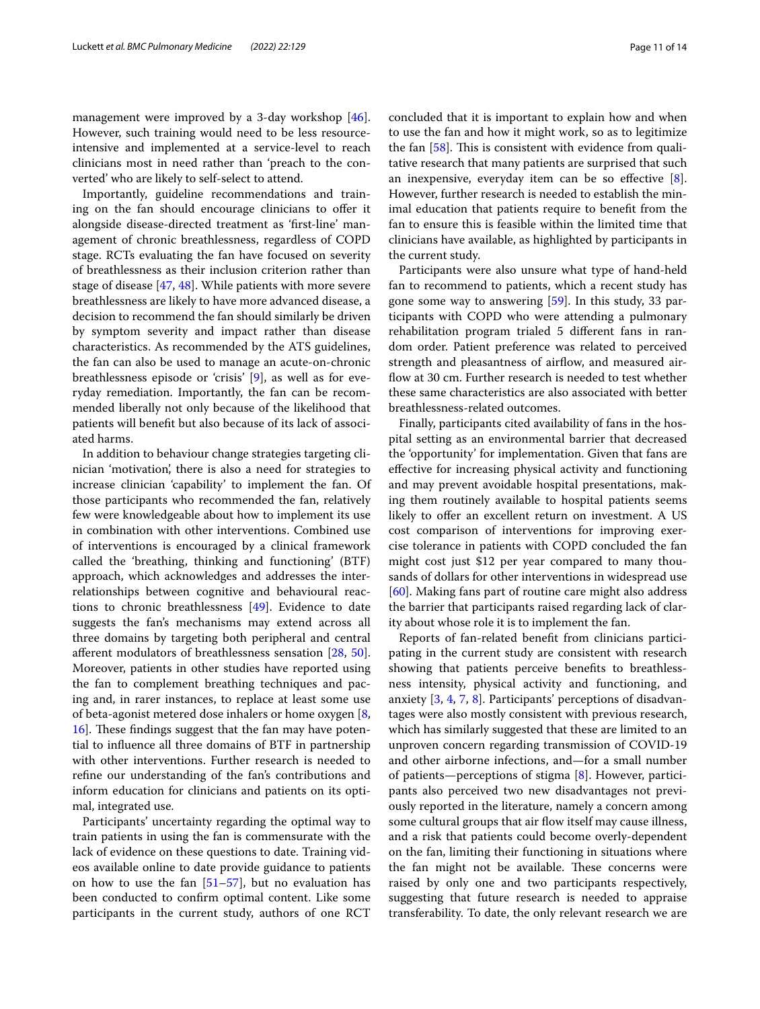management were improved by a 3-day workshop [\[46](#page-13-6)]. However, such training would need to be less resourceintensive and implemented at a service-level to reach clinicians most in need rather than 'preach to the converted' who are likely to self-select to attend.

Importantly, guideline recommendations and training on the fan should encourage clinicians to ofer it alongside disease-directed treatment as 'frst-line' management of chronic breathlessness, regardless of COPD stage. RCTs evaluating the fan have focused on severity of breathlessness as their inclusion criterion rather than stage of disease [\[47](#page-13-7), [48\]](#page-13-8). While patients with more severe breathlessness are likely to have more advanced disease, a decision to recommend the fan should similarly be driven by symptom severity and impact rather than disease characteristics. As recommended by the ATS guidelines, the fan can also be used to manage an acute-on-chronic breathlessness episode or 'crisis' [[9\]](#page-12-8), as well as for everyday remediation. Importantly, the fan can be recommended liberally not only because of the likelihood that patients will beneft but also because of its lack of associated harms.

In addition to behaviour change strategies targeting clinician 'motivation', there is also a need for strategies to increase clinician 'capability' to implement the fan. Of those participants who recommended the fan, relatively few were knowledgeable about how to implement its use in combination with other interventions. Combined use of interventions is encouraged by a clinical framework called the 'breathing, thinking and functioning' (BTF) approach, which acknowledges and addresses the interrelationships between cognitive and behavioural reactions to chronic breathlessness [\[49\]](#page-13-9). Evidence to date suggests the fan's mechanisms may extend across all three domains by targeting both peripheral and central aferent modulators of breathlessness sensation [[28,](#page-12-27) [50](#page-13-10)]. Moreover, patients in other studies have reported using the fan to complement breathing techniques and pacing and, in rarer instances, to replace at least some use of beta-agonist metered dose inhalers or home oxygen [\[8](#page-12-7), [16\]](#page-12-15). These findings suggest that the fan may have potential to infuence all three domains of BTF in partnership with other interventions. Further research is needed to refne our understanding of the fan's contributions and inform education for clinicians and patients on its optimal, integrated use.

Participants' uncertainty regarding the optimal way to train patients in using the fan is commensurate with the lack of evidence on these questions to date. Training videos available online to date provide guidance to patients on how to use the fan  $[51–57]$  $[51–57]$  $[51–57]$  $[51–57]$ , but no evaluation has been conducted to confrm optimal content. Like some participants in the current study, authors of one RCT

concluded that it is important to explain how and when to use the fan and how it might work, so as to legitimize the fan  $[58]$  $[58]$  $[58]$ . This is consistent with evidence from qualitative research that many patients are surprised that such an inexpensive, everyday item can be so efective [\[8](#page-12-7)]. However, further research is needed to establish the minimal education that patients require to beneft from the fan to ensure this is feasible within the limited time that clinicians have available, as highlighted by participants in the current study.

Participants were also unsure what type of hand-held fan to recommend to patients, which a recent study has gone some way to answering [\[59](#page-13-0)]. In this study, 33 participants with COPD who were attending a pulmonary rehabilitation program trialed 5 diferent fans in random order. Patient preference was related to perceived strength and pleasantness of airflow, and measured airflow at 30 cm. Further research is needed to test whether these same characteristics are also associated with better breathlessness-related outcomes.

Finally, participants cited availability of fans in the hospital setting as an environmental barrier that decreased the 'opportunity' for implementation. Given that fans are efective for increasing physical activity and functioning and may prevent avoidable hospital presentations, making them routinely available to hospital patients seems likely to offer an excellent return on investment. A US cost comparison of interventions for improving exercise tolerance in patients with COPD concluded the fan might cost just \$12 per year compared to many thousands of dollars for other interventions in widespread use [[60\]](#page-13-14). Making fans part of routine care might also address the barrier that participants raised regarding lack of clarity about whose role it is to implement the fan.

Reports of fan-related beneft from clinicians participating in the current study are consistent with research showing that patients perceive benefts to breathlessness intensity, physical activity and functioning, and anxiety [\[3](#page-12-2), [4](#page-12-3), [7](#page-12-6), [8](#page-12-7)]. Participants' perceptions of disadvantages were also mostly consistent with previous research, which has similarly suggested that these are limited to an unproven concern regarding transmission of COVID-19 and other airborne infections, and—for a small number of patients—perceptions of stigma [\[8](#page-12-7)]. However, participants also perceived two new disadvantages not previously reported in the literature, namely a concern among some cultural groups that air flow itself may cause illness, and a risk that patients could become overly-dependent on the fan, limiting their functioning in situations where the fan might not be available. These concerns were raised by only one and two participants respectively, suggesting that future research is needed to appraise transferability. To date, the only relevant research we are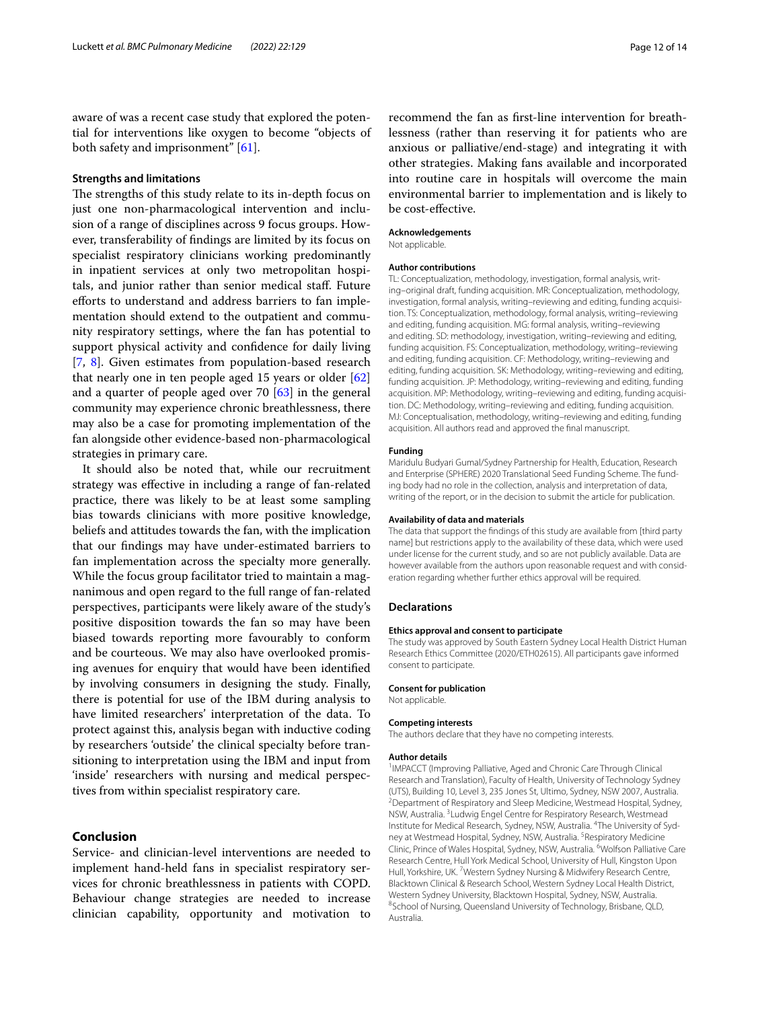aware of was a recent case study that explored the potential for interventions like oxygen to become "objects of both safety and imprisonment" [[61\]](#page-13-15).

## **Strengths and limitations**

The strengths of this study relate to its in-depth focus on just one non-pharmacological intervention and inclusion of a range of disciplines across 9 focus groups. However, transferability of fndings are limited by its focus on specialist respiratory clinicians working predominantly in inpatient services at only two metropolitan hospitals, and junior rather than senior medical staf. Future eforts to understand and address barriers to fan implementation should extend to the outpatient and community respiratory settings, where the fan has potential to support physical activity and confdence for daily living [[7,](#page-12-6) [8\]](#page-12-7). Given estimates from population-based research that nearly one in ten people aged 15 years or older [[62](#page-13-16)] and a quarter of people aged over 70 [\[63\]](#page-13-17) in the general community may experience chronic breathlessness, there may also be a case for promoting implementation of the fan alongside other evidence-based non-pharmacological strategies in primary care.

It should also be noted that, while our recruitment strategy was efective in including a range of fan-related practice, there was likely to be at least some sampling bias towards clinicians with more positive knowledge, beliefs and attitudes towards the fan, with the implication that our fndings may have under-estimated barriers to fan implementation across the specialty more generally. While the focus group facilitator tried to maintain a magnanimous and open regard to the full range of fan-related perspectives, participants were likely aware of the study's positive disposition towards the fan so may have been biased towards reporting more favourably to conform and be courteous. We may also have overlooked promising avenues for enquiry that would have been identifed by involving consumers in designing the study. Finally, there is potential for use of the IBM during analysis to have limited researchers' interpretation of the data. To protect against this, analysis began with inductive coding by researchers 'outside' the clinical specialty before transitioning to interpretation using the IBM and input from 'inside' researchers with nursing and medical perspectives from within specialist respiratory care.

## **Conclusion**

Service- and clinician-level interventions are needed to implement hand-held fans in specialist respiratory services for chronic breathlessness in patients with COPD. Behaviour change strategies are needed to increase clinician capability, opportunity and motivation to

recommend the fan as frst-line intervention for breathlessness (rather than reserving it for patients who are anxious or palliative/end-stage) and integrating it with other strategies. Making fans available and incorporated into routine care in hospitals will overcome the main environmental barrier to implementation and is likely to be cost-efective.

## **Acknowledgements**

Not applicable.

#### **Author contributions**

TL: Conceptualization, methodology, investigation, formal analysis, writing–original draft, funding acquisition. MR: Conceptualization, methodology, investigation, formal analysis, writing–reviewing and editing, funding acquisition. TS: Conceptualization, methodology, formal analysis, writing–reviewing and editing, funding acquisition. MG: formal analysis, writing–reviewing and editing. SD: methodology, investigation, writing–reviewing and editing, funding acquisition. FS: Conceptualization, methodology, writing–reviewing and editing, funding acquisition. CF: Methodology, writing–reviewing and editing, funding acquisition. SK: Methodology, writing–reviewing and editing, funding acquisition. JP: Methodology, writing–reviewing and editing, funding acquisition. MP: Methodology, writing–reviewing and editing, funding acquisition. DC: Methodology, writing–reviewing and editing, funding acquisition. MJ: Conceptualisation, methodology, writing–reviewing and editing, funding acquisition. All authors read and approved the fnal manuscript.

#### **Funding**

Maridulu Budyari Gumal/Sydney Partnership for Health, Education, Research and Enterprise (SPHERE) 2020 Translational Seed Funding Scheme. The funding body had no role in the collection, analysis and interpretation of data, writing of the report, or in the decision to submit the article for publication.

#### **Availability of data and materials**

The data that support the fndings of this study are available from [third party name] but restrictions apply to the availability of these data, which were used under license for the current study, and so are not publicly available. Data are however available from the authors upon reasonable request and with consideration regarding whether further ethics approval will be required.

#### **Declarations**

#### **Ethics approval and consent to participate**

The study was approved by South Eastern Sydney Local Health District Human Research Ethics Committee (2020/ETH02615). All participants gave informed consent to participate.

#### **Consent for publication**

Not applicable.

#### **Competing interests**

The authors declare that they have no competing interests.

#### **Author details**

<sup>1</sup> IMPACCT (Improving Palliative, Aged and Chronic Care Through Clinical Research and Translation), Faculty of Health, University of Technology Sydney (UTS), Building 10, Level 3, 235 Jones St, Ultimo, Sydney, NSW 2007, Australia. <sup>2</sup> Department of Respiratory and Sleep Medicine, Westmead Hospital, Sydney, NSW, Australia. <sup>3</sup> Ludwig Engel Centre for Respiratory Research, Westmead Institute for Medical Research, Sydney, NSW, Australia. <sup>4</sup>The University of Sydney at Westmead Hospital, Sydney, NSW, Australia.<sup>5</sup> Respiratory Medicine Clinic, Prince of Wales Hospital, Sydney, NSW, Australia. <sup>6</sup>Wolfson Palliative Care Research Centre, Hull York Medical School, University of Hull, Kingston Upon Hull, Yorkshire, UK.<sup>7</sup> Western Sydney Nursing & Midwifery Research Centre, Blacktown Clinical & Research School, Western Sydney Local Health District, Western Sydney University, Blacktown Hospital, Sydney, NSW, Australia. 8 School of Nursing, Queensland University of Technology, Brisbane, QLD, Australia.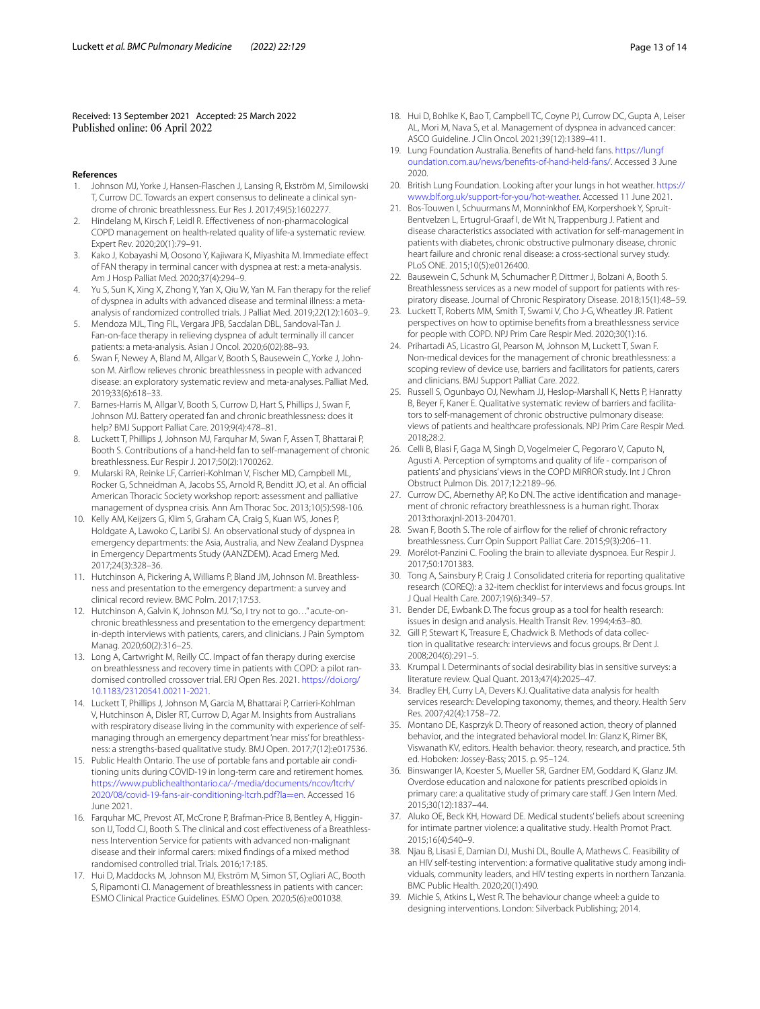Received: 13 September 2021 Accepted: 25 March 2022

#### **References**

- <span id="page-12-0"></span>1. Johnson MJ, Yorke J, Hansen-Flaschen J, Lansing R, Ekström M, Similowski T, Currow DC. Towards an expert consensus to delineate a clinical syndrome of chronic breathlessness. Eur Res J. 2017;49(5):1602277.
- <span id="page-12-1"></span>2. Hindelang M, Kirsch F, Leidl R. Efectiveness of non-pharmacological COPD management on health-related quality of life-a systematic review. Expert Rev. 2020;20(1):79–91.
- <span id="page-12-2"></span>3. Kako J, Kobayashi M, Oosono Y, Kajiwara K, Miyashita M. Immediate efect of FAN therapy in terminal cancer with dyspnea at rest: a meta-analysis. Am J Hosp Palliat Med. 2020;37(4):294–9.
- <span id="page-12-3"></span>Yu S, Sun K, Xing X, Zhong Y, Yan X, Qiu W, Yan M. Fan therapy for the relief of dyspnea in adults with advanced disease and terminal illness: a metaanalysis of randomized controlled trials. J Palliat Med. 2019;22(12):1603–9.
- <span id="page-12-4"></span>5. Mendoza MJL, Ting FIL, Vergara JPB, Sacdalan DBL, Sandoval-Tan J. Fan-on-face therapy in relieving dyspnea of adult terminally ill cancer patients: a meta-analysis. Asian J Oncol. 2020;6(02):88–93.
- <span id="page-12-5"></span>6. Swan F, Newey A, Bland M, Allgar V, Booth S, Bausewein C, Yorke J, Johnson M. Airfow relieves chronic breathlessness in people with advanced disease: an exploratory systematic review and meta-analyses. Palliat Med. 2019;33(6):618–33.
- <span id="page-12-6"></span>7. Barnes-Harris M, Allgar V, Booth S, Currow D, Hart S, Phillips J, Swan F, Johnson MJ. Battery operated fan and chronic breathlessness: does it help? BMJ Support Palliat Care. 2019;9(4):478–81.
- <span id="page-12-7"></span>8. Luckett T, Phillips J, Johnson MJ, Farquhar M, Swan F, Assen T, Bhattarai P, Booth S. Contributions of a hand-held fan to self-management of chronic breathlessness. Eur Respir J. 2017;50(2):1700262.
- <span id="page-12-8"></span>9. Mularski RA, Reinke LF, Carrieri-Kohlman V, Fischer MD, Campbell ML, Rocker G, Schneidman A, Jacobs SS, Arnold R, Benditt JO, et al. An official American Thoracic Society workshop report: assessment and palliative management of dyspnea crisis. Ann Am Thorac Soc. 2013;10(5):S98-106.
- <span id="page-12-9"></span>10. Kelly AM, Keijzers G, Klim S, Graham CA, Craig S, Kuan WS, Jones P, Holdgate A, Lawoko C, Laribi SJ. An observational study of dyspnea in emergency departments: the Asia, Australia, and New Zealand Dyspnea in Emergency Departments Study (AANZDEM). Acad Emerg Med. 2017;24(3):328–36.
- <span id="page-12-10"></span>11. Hutchinson A, Pickering A, Williams P, Bland JM, Johnson M. Breathlessness and presentation to the emergency department: a survey and clinical record review. BMC Polm. 2017;17:53.
- <span id="page-12-11"></span>12. Hutchinson A, Galvin K, Johnson MJ. "So, I try not to go…" acute-onchronic breathlessness and presentation to the emergency department: in-depth interviews with patients, carers, and clinicians. J Pain Symptom Manag. 2020;60(2):316–25.
- <span id="page-12-12"></span>13. Long A, Cartwright M, Reilly CC. Impact of fan therapy during exercise on breathlessness and recovery time in patients with COPD: a pilot randomised controlled crossover trial. ERJ Open Res. 2021. [https://doi.org/](https://doi.org/10.1183/23120541.00211-2021) [10.1183/23120541.00211-2021](https://doi.org/10.1183/23120541.00211-2021).
- <span id="page-12-13"></span>14. Luckett T, Phillips J, Johnson M, Garcia M, Bhattarai P, Carrieri-Kohlman V, Hutchinson A, Disler RT, Currow D, Agar M. Insights from Australians with respiratory disease living in the community with experience of selfmanaging through an emergency department 'near miss' for breathlessness: a strengths-based qualitative study. BMJ Open. 2017;7(12):e017536.
- <span id="page-12-14"></span>15. Public Health Ontario. The use of portable fans and portable air conditioning units during COVID-19 in long-term care and retirement homes. [https://www.publichealthontario.ca/-/media/documents/ncov/ltcrh/](https://www.publichealthontario.ca/-/media/documents/ncov/ltcrh/2020/08/covid-19-fans-air-conditioning-ltcrh.pdf?la=en) [2020/08/covid-19-fans-air-conditioning-ltcrh.pdf?la](https://www.publichealthontario.ca/-/media/documents/ncov/ltcrh/2020/08/covid-19-fans-air-conditioning-ltcrh.pdf?la=en)=en. Accessed 16 June 2021.
- <span id="page-12-15"></span>16. Farquhar MC, Prevost AT, McCrone P, Brafman-Price B, Bentley A, Higginson IJ, Todd CJ, Booth S. The clinical and cost efectiveness of a Breathlessness Intervention Service for patients with advanced non-malignant disease and their informal carers: mixed fndings of a mixed method randomised controlled trial. Trials. 2016;17:185.
- <span id="page-12-16"></span>17. Hui D, Maddocks M, Johnson MJ, Ekström M, Simon ST, Ogliari AC, Booth S, Ripamonti CI. Management of breathlessness in patients with cancer: ESMO Clinical Practice Guidelines. ESMO Open. 2020;5(6):e001038.
- <span id="page-12-17"></span>18. Hui D, Bohlke K, Bao T, Campbell TC, Coyne PJ, Currow DC, Gupta A, Leiser AL, Mori M, Nava S, et al. Management of dyspnea in advanced cancer: ASCO Guideline. J Clin Oncol. 2021;39(12):1389–411.
- <span id="page-12-18"></span>19. Lung Foundation Australia. Benefts of hand-held fans. [https://lungf](https://lungfoundation.com.au/news/benefits-of-hand-held-fans/) [oundation.com.au/news/benefits-of-hand-held-fans/.](https://lungfoundation.com.au/news/benefits-of-hand-held-fans/) Accessed 3 June 2020.
- <span id="page-12-19"></span>20. British Lung Foundation. Looking after your lungs in hot weather. [https://](https://www.blf.org.uk/support-for-you/hot-weather) [www.blf.org.uk/support-for-you/hot-weather.](https://www.blf.org.uk/support-for-you/hot-weather) Accessed 11 June 2021.
- <span id="page-12-20"></span>21. Bos-Touwen I, Schuurmans M, Monninkhof EM, Korpershoek Y, Spruit-Bentvelzen L, Ertugrul-Graaf I, de Wit N, Trappenburg J. Patient and disease characteristics associated with activation for self-management in patients with diabetes, chronic obstructive pulmonary disease, chronic heart failure and chronic renal disease: a cross-sectional survey study. PLoS ONE. 2015;10(5):e0126400.
- <span id="page-12-21"></span>22. Bausewein C, Schunk M, Schumacher P, Dittmer J, Bolzani A, Booth S. Breathlessness services as a new model of support for patients with respiratory disease. Journal of Chronic Respiratory Disease. 2018;15(1):48–59.
- <span id="page-12-22"></span>23. Luckett T, Roberts MM, Smith T, Swami V, Cho J-G, Wheatley JR. Patient perspectives on how to optimise benefts from a breathlessness service for people with COPD. NPJ Prim Care Respir Med. 2020;30(1):16.
- <span id="page-12-23"></span>24. Prihartadi AS, Licastro GI, Pearson M, Johnson M, Luckett T, Swan F. Non-medical devices for the management of chronic breathlessness: a scoping review of device use, barriers and facilitators for patients, carers and clinicians. BMJ Support Palliat Care. 2022.
- <span id="page-12-24"></span>25. Russell S, Ogunbayo OJ, Newham JJ, Heslop-Marshall K, Netts P, Hanratty B, Beyer F, Kaner E. Qualitative systematic review of barriers and facilitators to self-management of chronic obstructive pulmonary disease: views of patients and healthcare professionals. NPJ Prim Care Respir Med. 2018;28:2.
- <span id="page-12-25"></span>26. Celli B, Blasi F, Gaga M, Singh D, Vogelmeier C, Pegoraro V, Caputo N, Agusti A. Perception of symptoms and quality of life - comparison of patients' and physicians' views in the COPD MIRROR study. Int J Chron Obstruct Pulmon Dis. 2017;12:2189–96.
- <span id="page-12-26"></span>27. Currow DC, Abernethy AP, Ko DN. The active identifcation and management of chronic refractory breathlessness is a human right. Thorax 2013:thoraxjnl-2013-204701.
- <span id="page-12-27"></span>28. Swan F, Booth S. The role of airfow for the relief of chronic refractory breathlessness. Curr Opin Support Palliat Care. 2015;9(3):206–11.
- <span id="page-12-28"></span>29. Morélot-Panzini C. Fooling the brain to alleviate dyspnoea. Eur Respir J. 2017;50:1701383.
- <span id="page-12-29"></span>30. Tong A, Sainsbury P, Craig J. Consolidated criteria for reporting qualitative research (COREQ): a 32-item checklist for interviews and focus groups. Int J Qual Health Care. 2007;19(6):349–57.
- <span id="page-12-30"></span>31. Bender DE, Ewbank D. The focus group as a tool for health research: issues in design and analysis. Health Transit Rev. 1994;4:63–80.
- <span id="page-12-31"></span>32. Gill P, Stewart K, Treasure E, Chadwick B. Methods of data collection in qualitative research: interviews and focus groups. Br Dent J. 2008;204(6):291–5.
- <span id="page-12-32"></span>33. Krumpal I. Determinants of social desirability bias in sensitive surveys: a literature review. Qual Quant. 2013;47(4):2025–47.
- <span id="page-12-33"></span>34. Bradley EH, Curry LA, Devers KJ. Qualitative data analysis for health services research: Developing taxonomy, themes, and theory. Health Serv Res. 2007;42(4):1758–72.
- <span id="page-12-34"></span>35. Montano DE, Kasprzyk D. Theory of reasoned action, theory of planned behavior, and the integrated behavioral model. In: Glanz K, Rimer BK, Viswanath KV, editors. Health behavior: theory, research, and practice. 5th ed. Hoboken: Jossey-Bass; 2015. p. 95–124.
- <span id="page-12-35"></span>36. Binswanger IA, Koester S, Mueller SR, Gardner EM, Goddard K, Glanz JM. Overdose education and naloxone for patients prescribed opioids in primary care: a qualitative study of primary care staff. J Gen Intern Med. 2015;30(12):1837–44.
- 37. Aluko OE, Beck KH, Howard DE. Medical students' beliefs about screening for intimate partner violence: a qualitative study. Health Promot Pract. 2015;16(4):540–9.
- <span id="page-12-36"></span>38. Njau B, Lisasi E, Damian DJ, Mushi DL, Boulle A, Mathews C. Feasibility of an HIV self-testing intervention: a formative qualitative study among individuals, community leaders, and HIV testing experts in northern Tanzania. BMC Public Health. 2020;20(1):490.
- <span id="page-12-37"></span>39. Michie S, Atkins L, West R. The behaviour change wheel: a guide to designing interventions. London: Silverback Publishing; 2014.